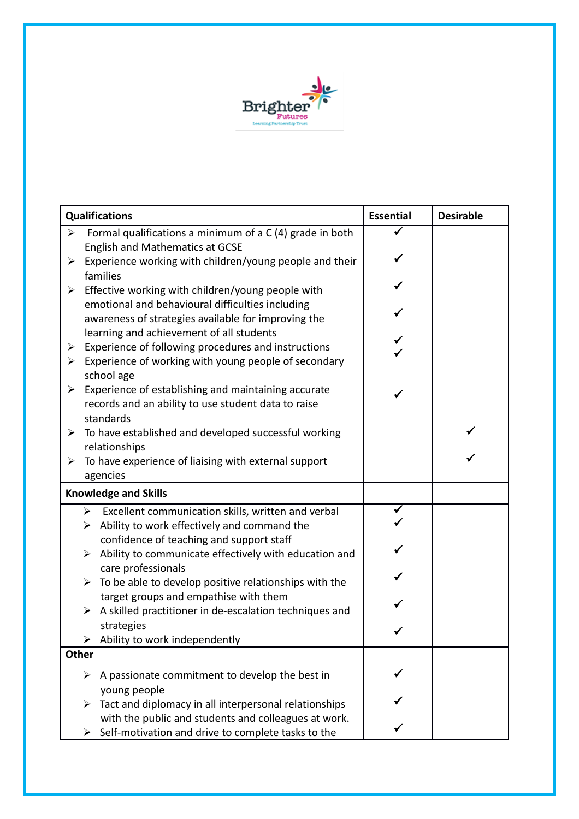

| <b>Qualifications</b>       |                                                                                                                    | <b>Essential</b> | <b>Desirable</b> |  |
|-----------------------------|--------------------------------------------------------------------------------------------------------------------|------------------|------------------|--|
| $\blacktriangleright$       | Formal qualifications a minimum of a C (4) grade in both                                                           |                  |                  |  |
|                             | <b>English and Mathematics at GCSE</b>                                                                             |                  |                  |  |
| ➤                           | Experience working with children/young people and their                                                            |                  |                  |  |
|                             | families                                                                                                           |                  |                  |  |
| $\blacktriangleright$       | Effective working with children/young people with                                                                  |                  |                  |  |
|                             | emotional and behavioural difficulties including                                                                   |                  |                  |  |
|                             | awareness of strategies available for improving the                                                                |                  |                  |  |
|                             | learning and achievement of all students                                                                           |                  |                  |  |
| ➤<br>➤                      | Experience of following procedures and instructions<br>Experience of working with young people of secondary        |                  |                  |  |
|                             | school age                                                                                                         |                  |                  |  |
| ➤                           | Experience of establishing and maintaining accurate                                                                |                  |                  |  |
|                             | records and an ability to use student data to raise                                                                | ✓                |                  |  |
|                             | standards                                                                                                          |                  |                  |  |
| ➤                           | To have established and developed successful working                                                               |                  |                  |  |
|                             | relationships                                                                                                      |                  |                  |  |
| ➤                           | To have experience of liaising with external support                                                               |                  |                  |  |
|                             | agencies                                                                                                           |                  |                  |  |
| <b>Knowledge and Skills</b> |                                                                                                                    |                  |                  |  |
|                             | Excellent communication skills, written and verbal<br>$\blacktriangleright$                                        |                  |                  |  |
|                             | Ability to work effectively and command the<br>➤                                                                   |                  |                  |  |
|                             | confidence of teaching and support staff                                                                           |                  |                  |  |
|                             | Ability to communicate effectively with education and<br>➤                                                         |                  |                  |  |
|                             | care professionals                                                                                                 |                  |                  |  |
|                             | To be able to develop positive relationships with the<br>➤                                                         |                  |                  |  |
|                             | target groups and empathise with them                                                                              |                  |                  |  |
|                             | A skilled practitioner in de-escalation techniques and<br>➤<br>strategies                                          |                  |                  |  |
|                             | $\triangleright$ Ability to work independently                                                                     |                  |                  |  |
| Other                       |                                                                                                                    |                  |                  |  |
|                             |                                                                                                                    |                  |                  |  |
|                             | A passionate commitment to develop the best in<br>➤                                                                |                  |                  |  |
|                             | young people                                                                                                       |                  |                  |  |
|                             |                                                                                                                    |                  |                  |  |
|                             | Tact and diplomacy in all interpersonal relationships<br>➤<br>with the public and students and colleagues at work. |                  |                  |  |